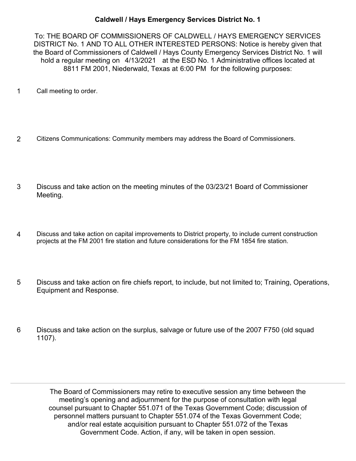## **Caldwell / Hays Emergency Services District No. 1**

To: THE BOARD OF COMMISSIONERS OF CALDWELL / HAYS EMERGENCY SERVICES DISTRICT No. 1 AND TO ALL OTHER INTERESTED PERSONS: Notice is hereby given that the Board of Commissioners of Caldwell / Hays County Emergency Services District No. 1 will hold a regular meeting on 4/13/2021 at the ESD No. 1 Administrative offices located at 8811 FM 2001, Niederwald, Texas at 6:00 PM for the following purposes:

- 1 Call meeting to order.
- 2 Citizens Communications: Community members may address the Board of Commissioners.
- Discuss and take action on the meeting minutes of the 03/23/21 Board of Commissioner Meeting. 3
- Discuss and take action on capital improvements to District property, to include current construction projects at the FM 2001 fire station and future considerations for the FM 1854 fire station. 4
- Discuss and take action on fire chiefs report, to include, but not limited to; Training, Operations, Equipment and Response. 5
- Discuss and take action on the surplus, salvage or future use of the 2007 F750 (old squad 1107). 6

The Board of Commissioners may retire to executive session any time between the meeting's opening and adjournment for the purpose of consultation with legal counsel pursuant to Chapter 551.071 of the Texas Government Code; discussion of personnel matters pursuant to Chapter 551.074 of the Texas Government Code; and/or real estate acquisition pursuant to Chapter 551.072 of the Texas Government Code. Action, if any, will be taken in open session.